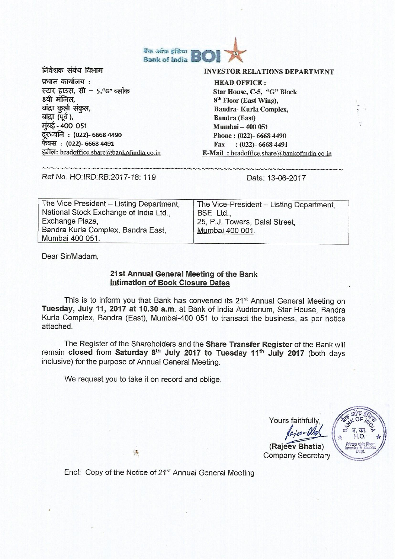

निवेशक संबंध विभाग प्रधान कार्यालय : स्टार हाउस, सी - 5,"G" ब्लॉक 8वी मंजिल. बांद्रा कुर्ला संकुल, बांद्रा (पूर्व), मूंबई - 400 051 दूरध्वनि: (022)- 6668 4490 फेक्स: (022)- 6668 4491 इमेल: headoffice.share@bankofindia.co.in

## **INVESTOR RELATIONS DEPARTMENT**

**HEAD OFFICE:** Star House, C-5, "G" Block 8<sup>th</sup> Floor (East Wing), **Bandra-Kurla Complex, Bandra (East) Mumbai - 400 051** Phone: (022)- 6668 4490 Fax: (022)-6668 4491 E-Mail: headoffice.share@bankofindia.co.in

Ref No. HO:IRD:RB:2017-18: 119

Date: 13-06-2017

| The Vice President - Listing Department, | The Vice-President - Listing Department, |
|------------------------------------------|------------------------------------------|
| National Stock Exchange of India Ltd     | BSE Ltd                                  |
| Exchange Plaza,                          | 25, P.J. Towers, Dalal Street,           |
| Bandra Kurla Complex, Bandra East,       | Mumbai 400 001.                          |
| Mumbai 400 051.                          |                                          |

Dear Sir/Madam,

# 21st Annual General Meeting of the Bank **Intimation of Book Closure Dates**

This is to inform you that Bank has convened its 21<sup>st</sup> Annual General Meeting on Tuesday, July 11, 2017 at 10.30 a.m. at Bank of India Auditorium. Star House, Bandra Kurla Complex, Bandra (East), Mumbai-400 051 to transact the business, as per notice attached.

The Register of the Shareholders and the Share Transfer Register of the Bank will remain closed from Saturday 8th July 2017 to Tuesday 11th July 2017 (both days inclusive) for the purpose of Annual General Meeting.

We request you to take it on record and oblige.

 $\rightarrow$ 

Yours faithfully.



(Rajeev Bhatia) **Company Secretary** 

Encl: Copy of the Notice of 21<sup>st</sup> Annual General Meeting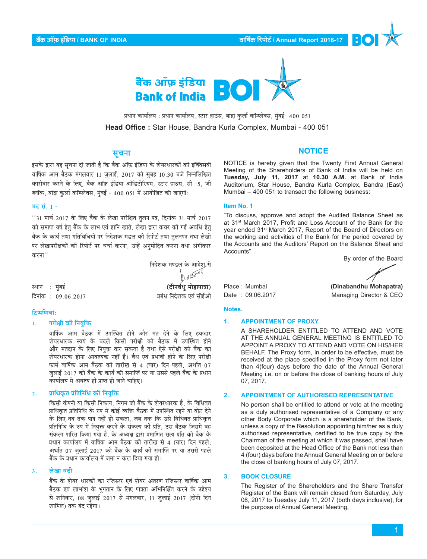

प्रधान कार्यालय : प्रधान कार्यालय, स्टार हाउस, बांद्रा कुर्ला कॉम्प्लेक्स, मुंबई -400 051 Head Office: Star House, Bandra Kurla Complex, Mumbai - 400 051

# सूचना

इसके द्वारा यह सूचना दी जाती है कि बैंक ऑफ़ इंडिया के शेयरधारकों की इक्क्सिवी वार्षिक आम बैठक मंगलवार 11 जुलाई, 2017 को सुबह 10.30 बजे निम्नलिखित कारोबार करने के लिए, बैंक ऑफ़ इंडिया ऑडिटोरियम, स्टार हाउस, सी -5, जी ब्लॉक, बांद्रा कुर्ला कॉम्प्लेक्स, मुंबई - 400 051 में आयोजित की जाएगी:

## मद सं. 1 -

"31 मार्च 2017 के लिए बैंक के लेखा परीक्षित त़लन पत्र, दिनांक 31 मार्च 2017 को समाप्त वर्ष हेतु बैंक के लाभ एवं हानि खाते, लेखा द्वारा कवर की गई अवधि हेतु बैंक के कार्य तथा गतिविधियों पर निदेशक मंडल की रिपोर्ट तथा तुलनपत्र तथा लेखों पर लेखापरीक्षकों की रिपोर्ट पर चर्चा करना, उन्हें अनुमोदित करना तथा अंगीकार करना''

|               |                    | निदेशक मण्डल के आदेश से |
|---------------|--------------------|-------------------------|
|               |                    | $1/12^{1/17}$           |
| स्थान : मुंबई |                    | (दीनवंधु मोहापात्रा)    |
|               | दिनांक: 09.06.2017 | प्रबंध निदेशक एवं सीईओ  |

#### टिप्पणियां:

परोक्षी की नियुक्ति  $\mathbf{1}$ .

> वार्षिक आम बैठक में उपस्थित होने और मत देने के लिए हकदार शेयरधारक स्वयं के बदले किसी परोक्षी को बैठक में उपस्थित होने और मतदान के लिए नियुक्त कर सकता है तथा ऐसे परोक्षी को बैंक का शेयरधारक होना आवश्यक नहीं है। वैध एवं प्रभावी होने के लिए परोक्षी फार्म वार्षिक आम बैठक की तारीख से 4 (चार) दिन पहले. अर्थात 07 ज़लाई 2017 को बैंक के कार्य की समाप्ति पर या उससे पहले बैंक के प्रधान कार्यालय में अवश्य ही प्राप्त हो जाने चाहिए।

#### प्राधिकृत प्रतिनिधि की नियुक्ति  $2.$

किसी कंपनी या किसी निकाय, निगम जो बैंक के शेयरधारक हैं, के विधिवत प्राधिकृत प्रतिनिधि के रुप में कोई व्यक्ति बैठक में उपस्थित रहने या वोट देने के लिए तब तक पात्र नहीं हो सकता, जब तक कि उसे विधिवत प्राधिकृत प्रतिनिधि के रुप में नियुक्त करने के संकल्प की प्रति, उस बैठक जिसमें वह संकल्प पारित किया गया है, के अध्यक्ष द्वारा प्रमाणित सत्य प्रति को बैंक के प्रधान कार्यालय में वार्षिक आम बैठक की तारीख से 4 (चार) दिन पहले, अर्थात 07 जुलाई 2017 को बैंक के कार्य की समाप्ति पर या उससे पहले बैंक के प्रधान कार्यालय में जमा न करा दिया गया हो।

#### लेखा बंदी  $\mathbf{R}$

बैंक के शेयर धारकों का रजिस्टर एवं शेयर अंतरण रजिस्टर वार्षिक आम बैठक एवं लाभांश के भुगतान के लिए पात्रता अभिनिश्चित करने के उद्देश्य से शनिवार, 08 जुलाई 2017 से मंगलवार, 11 जुलाई 2017 (दोनों दिन शामिल) तक बंद रहेगा।

### **NOTICE**

NOTICE is hereby given that the Twenty First Annual General Meeting of the Shareholders of Bank of India will be held on Tuesday, July 11, 2017 at 10.30 A.M. at Bank of India Auditorium, Star House, Bandra Kurla Complex, Bandra (East) Mumbai - 400 051 to transact the following business:

#### Item No. 1

"To discuss, approve and adopt the Audited Balance Sheet as at 31<sup>st</sup> March 2017, Profit and Loss Account of the Bank for the year ended 31<sup>st</sup> March 2017, Report of the Board of Directors on the working and activities of the Bank for the period covered by the Accounts and the Auditors' Report on the Balance Sheet and Accounts"

By order of the Board

Place: Mumbai Date: 09.06.2017

(Dinabandhu Mohapatra) Managing Director & CEO

#### Notes.

#### $\overline{1}$ **APPOINTMENT OF PROXY**

A SHAREHOLDER ENTITLED TO ATTEND AND VOTE AT THE ANNUAL GENERAL MEETING IS ENTITLED TO APPOINT A PROXY TO ATTEND AND VOTE ON HIS/HER BEHALF. The Proxy form, in order to be effective, must be received at the place specified in the Proxy form not later than 4(four) days before the date of the Annual General Meeting i.e. on or before the close of banking hours of July 07, 2017.

#### **APPOINTMENT OF AUTHORISED REPRESENTATIVE**  $2.$

No person shall be entitled to attend or vote at the meeting as a duly authorised representative of a Company or any other Body Corporate which is a shareholder of the Bank, unless a copy of the Resolution appointing him/her as a duly authorised representative, certified to be true copy by the Chairman of the meeting at which it was passed, shall have been deposited at the Head Office of the Bank not less than 4 (four) days before the Annual General Meeting on or before the close of banking hours of July 07, 2017.

#### **BOOK CLOSURE**  $3.$

The Register of the Shareholders and the Share Transfer Register of the Bank will remain closed from Saturday, July 08, 2017 to Tuesday July 11, 2017 (both days inclusive), for the purpose of Annual General Meeting,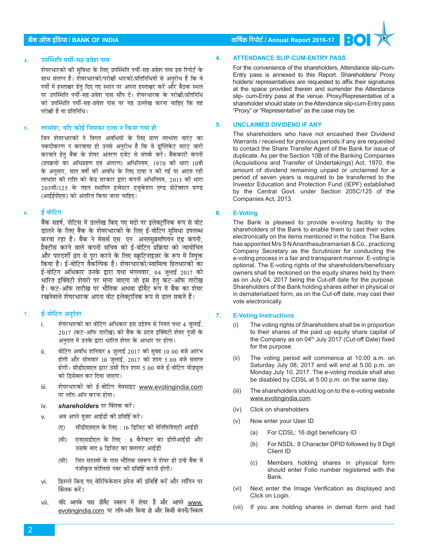## 4. **उपस्थिति पर्ची-सह-प्रवेश पास**

शेयरधारकों की सुविधा के लिए उपस्थिति पर्ची-सह-प्रवेश पास इस रिपोर्ट के साथ संलग्न है। शेयरधारकों/परोक्षी धारकों/प्रतिनिधियों से अनरोध है कि वे पर्ची में हस्ताक्षर हेतु दिए गए स्थान पर अपना हस्ताक्षर करें और बैठक स्थल पर उपस्थिति पर्ची-सह-प्रवेश पास सौंप दें। शेयरधारक के परोक्षी/प्रतिनिधि को उपस्थिति पर्ची-सह-प्रवेश पास पर यह उल्लेख करना चाहिए कि वह परोक्षी है या प्रतिनिधि।

## 5. **माभांश, यदि कोई जिसका दावा न किया गया हो**

जिन शेयरधारकों ने विगत अवधियों के लिए प्राप्त लाभांश वारंट का नकदीकरण न करवाया हो उनसे अनुरोध है कि वे डूप्लिकेट वारंट जारी करवाने हेत बैंक के शेयर अंतरण एजेंट से संपर्क करें। बैंककारी कंपनी (उपक्रमों का अधिग्रहण एवं अंतरण) अधिनियम, 1970 की धारा 10बी के अनुसार, सात वर्षों की अवधि के लिए दावा न की गई या अदत्त रही लाभांश की राशि को केंद्र सरकार द्वारा कंपनी अधिनियम, 2013 की धारा 205सी/125 के तहत स्थापित इन्वेस्टर एजुकेशन एण्ड प्रोटेक्शन फण्ड (आईईपीएफ) को अंतरित किया जाना चाहिए।

#### <u>6. र्ड बोटिंग</u>

बैंक सहर्ष, नोटिस में उल्लेख किए गए मदों पर इलेक्टॉनिक रूप से वोट डालने के लिए बैंक के शेयरधारकों के लिए ई-वोटिंग सविधा उपलब्ध करवा रहा है। बैंक ने मेसर्स एस. एन. अनंतसब्रमणियन एंड कंपनी, प्रैक्टीस करने वाले कंपनी सचिव को ई-वोटिंग प्रक्रिया को न्यायोचित और पारदर्शी ढंग से पूरा करने के लिए स्क्रूटिनाइज़र के रूप में नियुक्त किया है। ई-वोटिंग वैकल्पिक है। शेयरधारकों/स्वामित्व हितधारकों का ई-वोटिंग अधिकार उनके द्वारा यथा मंगलवार, 04 जुलाई 2017 को धारित इक्विटी शेयरों पर माना जाएगा जो इस हेतू कट-ऑफ तारीख है। कट-ऑफ तारीख पर भौतिक अथवा डीमैट रूप में बैंक का शेयर रखनेवाले शेयरधारक अपना वोट इलेक्टानिक रूप से डाल सकते हैं।

#### 7. ई-वोटिंग अनुदेश

- i. शेयरधारकों का वोटिंग अधिकार इस उद्देश्य से नियत यथा 4 जुलाई, 2017 (कट-ऑफ तारीख) को बैंक के प्रदत्त इक्विटी शेयर पूंजी के अनुपात में उनके द्वारा धारित शेयर के आधार पर होगा।
- ii. वोटिंग अवधि शनिवार 8 जुलाई 2017 को सुबह 10.00 बजे आरंभ होगी और सोमवार 10 जुलाई, 2017 को शाम 5.00 बजे समाप्त होगी। सीडीएसएल द्वारा उसी दिन शाम 5.00 बजे ई-वोटिंग मोड्यूल को डिसेबल कर दिया जाएगा।
- iii. शेयरधारकों को ई-वोटिंग वेबसाइट www.evotingindia.com पर लॉग-ऑन करना होगा।
- iv. **shareholders** पर क्लिक करें।
- v. अब अपने यूज़र आईडी की प्रविष्टि करें।
	- (ए) सीडीएसएल के लिए : 16 डिजिट की बेनिफिशिएरी आईडी
	- (बी) एनएसडीएल के लिए : 8 कैरेक्टर का डीपीआईडी और उसके बाद 8 डिजिट का क्लायंट आईडी
	- (सी) जिन सदस्यों के पास भौतिक स्वरूप में शेयर हों उन्हें बैंक में पंजीकृत फोलियो नंबर की प्रविष्टि करनी होगी।
- vi. हिस्प्ले किए गए वेरिफिकेशन इमेज की प्रविष्टि करें और लॉगिन पर क्लिक करें।
- vii. यदि आपके पास डीमैट स्वरूप में शेयर हैं और आपने www. evotingindia.com पर लॉग-ऑन किया हो और किसी कंपनी/निकाय

## **ºãö‡ãŠ 'ããùû¹ãŠ ƒâã䡾ãã / BANK OF INDIA ÌãããäÓãÇ㊠ãäÀ¹ããñ›Ã / Annual Report 2016-17**

## **4. ATTENDANCE SLIP-CUM-ENTRY PASS**

For the convenience of the shareholders, Attendance slip-cum-Entry pass is annexed to this Report. Shareholders/ Proxy holders/ representatives are requested to affix their signatures at the space provided therein and surrender the Attendance slip- cum-Entry pass at the venue. Proxy/Representative of a shareholder should state on the Attendance slip-cum-Entry pass "Proxy" or "Representative" as the case may be.

#### **5. UNCLAIMED DIVIDEND IF ANY**

The shareholders who have not encashed their Dividend Warrants / received for previous periods if any are requested to contact the Share Transfer Agent of the Bank for issue of duplicate. As per the Section 10B of the Banking Companies (Acquisitions and Transfer of Undertakings) Act, 1970, the amount of dividend remaining unpaid or unclaimed for a period of seven years is required to be transferred to the Investor Education and Protection Fund (IEPF) established by the Central Govt. under Section 205C/125 of the Companies Act, 2013.

## **6. E-Voting**

The Bank is pleased to provide e-voting facility to the shareholders of the Bank to enable them to cast their votes electronically on the items mentioned in the notice. The Bank has appointed M/s S N Ananthasubramanian & Co., practicing Company Secretary as the Scrutinizer for conducting the e-voting process in a fair and transparent manner. E-voting is optional. The E-voting rights of the shareholders/beneficiary owners shall be reckoned on the equity shares held by them as on July 04, 2017 being the Cut-off date for the purpose. Shareholders of the Bank holding shares either in physical or in dematerialized form, as on the Cut-off date, may cast their vote electronically.

#### **7. E-Voting Instructions**

- (i) The voting rights of Shareholders shall be in proportion to their shares of the paid up equity share capital of the Company as on  $04<sup>th</sup>$  July 2017 (Cut-off Date) fixed for the purpose.
- (ii) The voting period will commence at 10.00 a.m. on Saturday July 08, 2017 and will end at 5.00 p.m. on Monday July 10, 2017. The e-voting module shall also be disabled by CDSL at 5.00 p.m. on the same day.
- (iii) The shareholders should log on to the e-voting website www.evotingindia.com.
- (iv) Click on shareholders
- (v) Now enter your User ID
	- (a) For CDSL: 16 digit beneficiary ID
	- (b) For NSDL: 8 Character DPID followed by 8 Digit Client ID
	- (c) Members holding shares in physical form should enter Folio number registered with the Bank.
- (vi) Next enter the Image Verification as displayed and Click on Login.
- (vii) If you are holding shares in demat form and had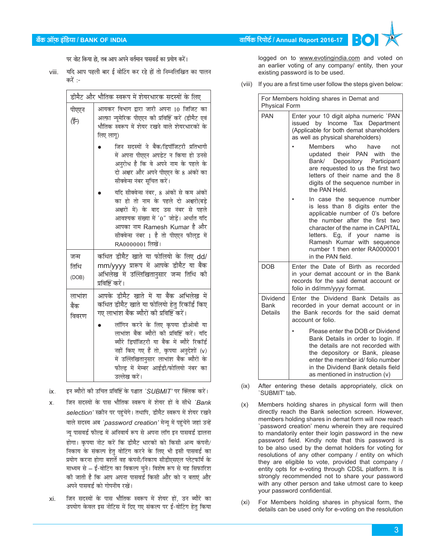# **ºãö‡ãŠ 'ããùû¹ãŠ ƒâã䡾ãã / BANK OF INDIA ÌãããäÓãÇ㊠ãäÀ¹ããñ›Ã / Annual Report 2016-17**

पर वोट किया हो, तब आप अपने वर्तमान पासवर्ड का प्रयोग करें।

viii. यदि आप पहली बार ई वोटिंग कर रहे हों तो निम्नलिखित का पालन करें $:$ 

|                         | डीमैट और भौतिक स्वरूप में शेयरधारक सदस्यों के लिए                                                                                                                                                                                                                                 |
|-------------------------|-----------------------------------------------------------------------------------------------------------------------------------------------------------------------------------------------------------------------------------------------------------------------------------|
| पीएएन<br>(ई-)           | आयकर विभाग द्वारा जारी अपना 10 जिजिट का<br>अल्फ़ा न्यूमेरिक पीएएन की प्रविष्टि करें (डीमैट एवं<br>भौतिक स्वरूप में शेयर रखने वाले शेयरधारकों के<br>लिए लागू)                                                                                                                      |
|                         | जिन सदस्यों ने बैंक/डिपॉजिटरी प्रतिभागी<br>में अपना पीएएन अपडेट न किया हो उनसे<br>अनुरोध है कि वे अपने नाम के पहले के<br>दो अक्षर और अपने पीएएन के 8 अंकों का<br>सीक्वेन्स नंबर सूचित करें।                                                                                       |
|                         | यदि सीक्वेन्स नंबर, 8 अंकों से कम अंकों<br>का हो तो नाम के पहले दो अक्षरों(बडे<br>अक्षरों में) के बाद उस नंबर से पहले<br>आवश्यक संख्या में '0" जोड़ें। अर्थात यदि<br>आपका नाम Ramesh Kumar है और<br>सीक्वेन्स नंबर 1 है तो पीएएन फील्इ में<br>RA0000001 लिखें।                    |
| जन्म<br>तिथि<br>(DOB)   | कथित डीमैट खाते या फोलियो के लिए dd/<br>mm/yyyy प्रारूप में आपके डीमैट या बैंक<br>अभिलेख में उल्लिखितानुसार जन्म तिथि की<br>प्रविष्टि करें।                                                                                                                                       |
| लाभांश<br>बैंक<br>विवरण | आपके डीमैट खाते में या बैंक अभिलेख में<br>कथित डीमैट खाते या फोलियो हेतु रिकॉर्ड किए<br>गए लाभांश बैंक ब्यौरों की प्रविष्टि करें।                                                                                                                                                 |
|                         | लॉगिन करने के लिए कृपया डीओबी या<br>लाभांश बैंक ब्यौरों की प्रविष्टि करें। यदि<br>ब्यौरे डिपॉजिटरी या बैंक में ब्यौरे रिकॉर्ड<br>नहीं किए गए हैं तो, कृपया अनुदेशों (v)<br>.<br>में उल्लिखितानुसार लाभांश बैंक ब्यौरों के<br>फील्ड में मेम्बर आईडी/फोलियो नंबर का<br>उल्लेख करें। |

ix. इन ब्यौरों की उचित प्रविष्टि के पश्चात `SUBMIT' पर क्लिक करें।

- x. जिन सदस्यों के पास भौतिक स्वरूप में शेयर हों वे सीधे *`Bank selection'* स्क्रीन पर पहुंचेंगे। तथापि, डीमैट स्वरूप में शेयर रखने वाले सदस्य अब `password creation' मेन्यू में पहुंचेंगे जहां उन्हें न्यू पासवर्ड फील्ड में अनिवार्य रूप से अपना लॉग इन पासवर्ड डालना होगा। कृपया नोट करें कि डीमैट धारकों को किसी अन्य कंपनी/ निकाय के संकल्प हेतु वोटिंग करने के लिए भी इसी पासवर्ड का प्रयोग करना होगा बशर्ते वह कंपनी/निकाय सीडीएसएल प्लेटफॉर्म के माध्यम से – ई-वोटिंग का विकल्प चुने। विशेष रूप से यह सिफारिश को जाती है कि आप अपना पासवर्ड किसी और को न बताएं और अपने पासवर्ड को गोपनीय रखें।
- xi. जिन सदस्यों के पास भौतिक स्वरूप में शेयर हों, उन ब्यौरे का उपयोग केवल इस नोटिस में दिए गए संकल्प पर ई-वोटिंग हेतु किया

logged on to www.evotingindia.com and voted on an earlier voting of any company/ entity, then your existing password is to be used.

(viii) If you are a first time user follow the steps given below:

| For Members holding shares in Demat and<br><b>Physical Form</b> |                                                                                                                                                                                                                                                                                                                                                                                          |  |
|-----------------------------------------------------------------|------------------------------------------------------------------------------------------------------------------------------------------------------------------------------------------------------------------------------------------------------------------------------------------------------------------------------------------------------------------------------------------|--|
| <b>PAN</b>                                                      | Enter your 10 digit alpha numeric `PAN<br>issued by Income Tax Department<br>(Applicable for both demat shareholders<br>as well as physical shareholders)<br>Members<br>who<br>have<br>not<br>updated their PAN with<br>the<br>Bank/ Depository Participant<br>are requested to us the first two<br>letters of their name and the 8<br>digits of the sequence number in<br>the PAN Held. |  |
|                                                                 | In case the sequence number<br>is less than 8 digits enter the<br>applicable number of 0's before<br>the number after the first two<br>character of the name in CAPITAL<br>letters. Eg, if your name is<br>Ramesh Kumar with sequence<br>number 1 then enter RA0000001<br>in the PAN field.                                                                                              |  |
| <b>DOB</b>                                                      | Enter the Date of Birth as recorded<br>in your demat account or in the Bank<br>records for the said demat account or<br>folio in dd/mm/yyyy format.                                                                                                                                                                                                                                      |  |
| <b>Dividend</b><br>Bank<br><b>Details</b>                       | Enter the Dividend Bank Details as<br>recorded in your demat account or in<br>the Bank records for the said demat<br>account or folio.                                                                                                                                                                                                                                                   |  |
|                                                                 | Please enter the DOB or Dividend<br>Bank Details in order to login. If<br>the details are not recorded with<br>the depository or Bank, please<br>enter the member id/ folio number<br>in the Dividend Bank details field<br>as mentioned in instruction (v)                                                                                                                              |  |

(ix) After entering these details appropriately, click on `SUBMIT' tab.

- (x) Members holding shares in physical form will then directly reach the Bank selection screen. However, members holding shares in demat form will now reach `password creation' menu wherein they are required to mandatorily enter their login password in the new password field. Kindly note that this password is to be also used by the demat holders for voting for resolutions of any other company / entity on which they are eligible to vote, provided that company / entity opts for e-voting through CDSL platform. It is strongly recommended not to share your password with any other person and take utmost care to keep your password confidential.
- (xi) For Members holding shares in physical form, the details can be used only for e-voting on the resolution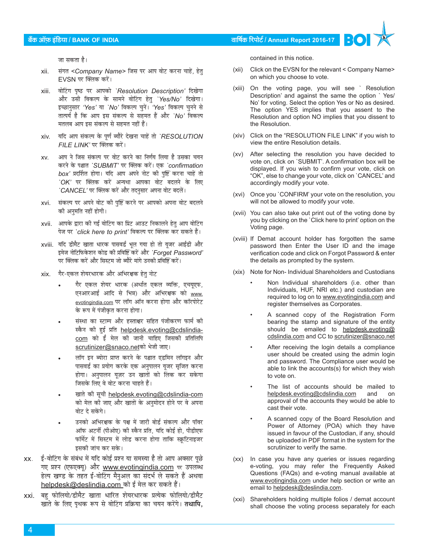## **ºãö‡ãŠ 'ããùû¹ãŠ ƒâã䡾ãã / BANK OF INDIA ÌãããäÓãÇ㊠ãäÀ¹ããñ›Ã / Annual Report 2016-17**

जा सकता है।

- xii. संगत <Company Name> जिस पर आप वोट करना चाहें, हेत्  $EVSN$  पर क्लिक करें।
- xiii. वोटिंग पृष्ठ पर आपको `Resolution Description' दिखेगा और उसी विकल्प के सामने वोटिंग हेतु `Yes/No' दिखेगा। इच्छानुसार 'Yes' या `No' विकल्प चुनें। 'Yes' विकल्प चुनने से तात्पर्य है कि आप इस संकल्प से सहमत हैं और `No' विकल्प मतलब आप इस संकल्प से सहमत नहीं हैं।
- xiv. यदि आप संकल्प के पूर्ण ब्यौरे देखना चाहें तो `RESOLUTION  $FILE$   $LINK'$  पर क्लिक करें।
- xv. आप ने जिस संकल्प पर वोट करने का निर्णय लिया है उसका चयन करने के पश्चात `SUBMIT' पर क्लिक करें। एक `confirmation *box'* प्रदर्शित होगा। यदि आप अपने नोट की पुष्टि करना चाहें तो *`OK'* पर क्लिक करें अन्यथा आपका वोट बदलने के लिए *`CANCEL'* पर क्लिक करें और तदनुसार अपना वोट बदलें।
- xvi. संकल्प पर अपने वोट की पृष्टि करने पर आपको अपना वोट बदलने की अनुमति नहीं होगी।
- xvii. आपके द्वारा की गई वोटिंग का प्रिंट आउट निकालने हेतु आप वोटिंग पेज पर *`click here to print'* विकल्प पर क्लिक कर सकते हैं।
- xviii. यदि डीमैट खाता धारक पासवर्ड भूल गया हो तो यूजर आईडी और इमेज नोटिफिकेशन कोड की प्रविष्टि करें और *`Forget Password'* he क्लिक करें और सिस्टम जो ब्यौरे मांगे उनकी प्रविष्टि करें।<br>
- xix. गैर-एकल शेयरधारक और अभिरक्षक हेतु नोट
	- गैर एकल शेयर धारक (अर्थात एकल व्यक्ति, एचयुएफ, एनआरआई आदि से भिन्न) और अभिरक्षक को www. evotingindia.com पर लॉग ऑन करना होगा और कॉरपोरेट के रूप में पंजीकृत करना होगा।
	- संस्था का स्टाम्प और हस्ताक्षर सहित पंजीकरण फार्म की स्कैन की हुई प्रति helpdesk.evoting@cdslindia $com$  को ई मेल की जानी चाहिए जिसकी प्रतिलिपि scrutinizer@snaco.netको भेजी जाए।
	- लॉग इन ब्योरा प्राप्त करने के पश्चात एडमिन लॉगइन और पासवर्ड का प्रयोग करके एक अनुपालन यूजर सृजित करना होगा। अनुपालन यूज़र उन खातों को लिंक कर सकेगा जिसके लिए वे वोट करना चाहते हैं।
	- खाते की सूची helpdesk.evoting@cdslindia-com को मेल की जाए और खातों के अनुमोदन होने पर वे अपना वोट दे सकेंगे।
	- उनको अभिरक्षक के पक्ष में जारी बोर्ड संकल्प और पॉवर ऑफ अटर्नी (पीओए) की स्कैन प्रति, यदि कोई हो, पीडीएफ फॉर्मेट में सिस्टम में लोड करना होगा ताकि स्क्रटिनाइजर इसकी जांच कर सके।
- xx. ई-वोटिंग के संबंध में यदि कोई प्रश्न या समस्या है तो आप अक्सर पछे गए प्रश्न (एफएक्यू) और www.evotingindia.com पर उपलब्ध हेल्प खण्ड के तहत ई-वोटिंग मैनुअल का संदर्भ ले सकते हैं अथवा helpdesk@deslindia.com\_को ई मेल कर सकते हैं।
- xxi. बहु फोलियो/डीमैट खाता धारित शेयरधारक प्रत्येक फोलियो/डीमैट खाते के लिए पृथक रूप से वोटिंग प्रक्रिया का चयन करेंगे। **तथापि,**

contained in this notice.

- (xii) Click on the EVSN for the relevant < Company Name> on which you choose to vote.
- (xiii) On the voting page, you will see ` Resolution Description' and against the same the option ` Yes/ No' for voting. Select the option Yes or No as desired. The option YES implies that you assent to the Resolution and option NO implies that you dissent to the Resolution.
- (xiv) Click on the "RESOLUTION FILE LINK" if you wish to view the entire Resolution details.
- (xv) After selecting the resolution you have decided to vote on, click on `SUBMIT'. A confirmation box will be displayed. If you wish to confirm your vote, click on "OK", else to change your vote, click on `CANCEL' and accordingly modify your vote.
- (xvi) Once you `CONFIRM' your vote on the resolution, you will not be allowed to modify your vote.
- (xvii) You can also take out print out of the voting done by you by clicking on the `Click here to print' option on the Voting page.
- (xviii) If Demat account holder has forgotten the same password then Enter the User ID and the image verification code and click on Forgot Password & enter the details as prompted by the system.
- (xix) Note for Non- Individual Shareholders and Custodians
	- Non Individual shareholders (i.e. other than Individuals, HUF, NRI etc.) and custodian are required to log on to www.evotingindia.com and register themselves as Corporates.
	- A scanned copy of the Registration Form bearing the stamp and signature of the entity should be emailed to helpdesk.evoting@ cdslindia.com and CC to scrutinizer@snaco.net
	- After receiving the login details a compliance user should be created using the admin login and password. The Compliance user would be able to link the accounts(s) for which they wish to vote on.
	- The list of accounts should be mailed to helpdesk.evoting@cdslindia.com and on approval of the accounts they would be able to cast their vote.
	- A scanned copy of the Board Resolution and Power of Attorney (POA) which they have issued in favour of the Custodian, if any, should be uploaded in PDF format in the system for the scrutinizer to verify the same.
- (xx) In case you have any queries or issues regarding e-voting, you may refer the Frequently Asked Questions (FAQs) and e-voting manual available at www.evotingindia.com under help section or write an email to helpdesk@deslindia.com.
- (xxi) Shareholders holding multiple folios / demat account shall choose the voting process separately for each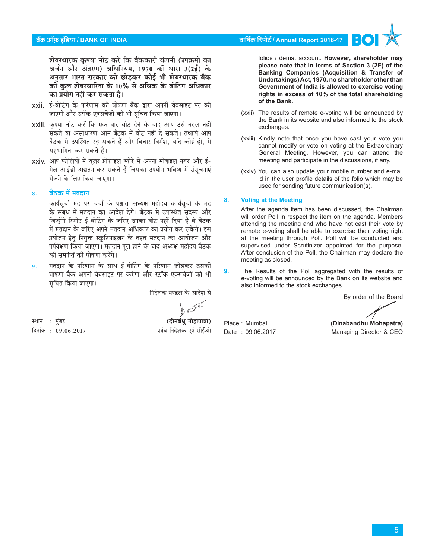# बैंक ऑफ इंडिया / BANK OF INDIA

वार्षिक रिपोर्ट / Annual Report 2016-17

शेयरधारक कपया नोट करें कि बैंककारी कंपनी (उपक्रमों का अर्जन और अंतरण) अधिनियम, 1970 की धारा 3(2ई) के अनुसार भारत सरकार को छोड़कर कोई भी शेयरधारक बैंक को कल शेयरधारिता के 10% से अधिक के वोटिंग अधिकार का प्रयोग नही कर सकता है।

- xxii. ई-वोटिंग के परिणाम की घोषणा बैंक द्वारा अपनी वेबसाइट पर की जाएगी और स्टॉक एक्सचेंजों को भी सूचित किया जाएगा।
- xxiii. कृपया नोट करें कि एक बार वोट देने के बाद आप उसे बदल नहीं .<br>सकते या असाधारण आम बैठक में वोट नहीं दे सकते। तथापि आप बैठक में उपस्थित रह सकते हैं और विचार-विर्मश. यदि कोई हो. में सहभागिता कर सकते हैं।
- xxiv. आप फोलियो में यूज़र प्रोफाइल ब्योरे में अपना मोबाइल नंबर और ई-मेल आईडी अद्यतन कर सकते हैं जिसका उपयोग भविष्य में संसचनाएं भेजने के लिए किया जाएगा।

#### बैठक में मतदान  $\mathbf{R}$

कार्यसूची मद पर चर्चा के पश्चात अध्यक्ष महोदय कार्यसूची के मद के संबंध में मतदान का आदेश देंगे। बैठक में उपस्थित सदस्य और जिन्होंने रिमोट ई-वोटिंग के जरिए उनका वोट नहीं दिया है वे बैठक में मतदान के जरिए अपने मतदान अधिकार का प्रयोग कर सकेंगे। इस प्रयोजन हेत् नियुक्त स्क्रुटिनाइज़र के तहत मतदान का आयोजन और पर्यवेक्षण किया जाएगा। मतदान पूरा होने के बाद अध्यक्ष महोदय बैठक की समाप्ति की घोषणा करेंगे।

मतदान के परिणाम के साथ ई-वोटिंग के परिणाम जोडकर उसकी  $\mathbf{Q}$ . घोषणा बैंक अपनी वेबसाइट पर करेगा और स्टॉक एक्सचेजों को भी सूचित किया जाएगा।

निदेशक मण्डल के आदेश से

स्थान : मुंबई (दीनवंधु मोहापात्रा) प्रबंध निदेशक एवं सीईओ दिनांक: 09.06.2017

folios / demat account. However, shareholder may please note that in terms of Section 3 (2E) of the Banking Companies (Acquisition & Transfer of Undertakings) Act, 1970, no shareholder other than Government of India is allowed to exercise voting rights in excess of 10% of the total shareholding of the Bank.

- (xxii) The results of remote e-voting will be announced by the Bank in its website and also informed to the stock exchanges.
- (xxiii) Kindly note that once you have cast your vote you cannot modify or vote on voting at the Extraordinary General Meeting. However, you can attend the meeting and participate in the discussions, if any.
- (xxiv) You can also update your mobile number and e-mail id in the user profile details of the folio which may be used for sending future communication(s).

#### **Voting at the Meeting**  $\mathbf{a}$

After the agenda item has been discussed, the Chairman will order Poll in respect the item on the agenda. Members attending the meeting and who have not cast their vote by remote e-voting shall be able to exercise their voting right at the meeting through Poll. Poll will be conducted and supervised under Scrutinizer appointed for the purpose. After conclusion of the Poll, the Chairman may declare the meeting as closed.

 $\mathbf{Q}$ The Results of the Poll aggregated with the results of e-voting will be announced by the Bank on its website and also informed to the stock exchanges.

By order of the Board

Place: Mumbai Date: 09.06.2017

(Dinabandhu Mohapatra) Managing Director & CEO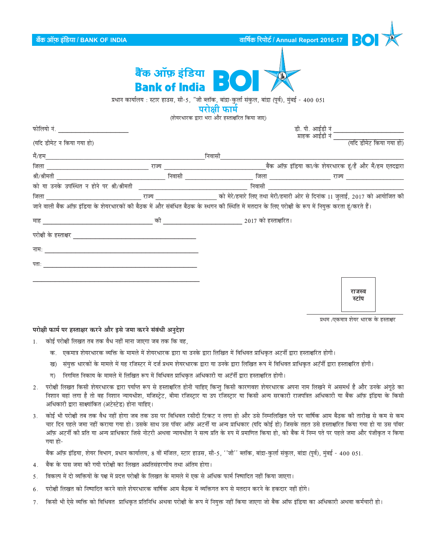| बैंक ऑफ़ इंडिया / BANK OF INDIA                                                                      |                                             |                                                                                                                                                                         | वार्षिक रिपोर्ट / Annual Report 2016-17 $\begin{array}{ c c c }\hline \texttt{c} \end{array}$ |  |
|------------------------------------------------------------------------------------------------------|---------------------------------------------|-------------------------------------------------------------------------------------------------------------------------------------------------------------------------|-----------------------------------------------------------------------------------------------|--|
|                                                                                                      | बैंक ऑफ़ इंडिया <b>NSO</b><br>Bank of India |                                                                                                                                                                         |                                                                                               |  |
|                                                                                                      |                                             | प्रधान कार्यालय : स्टार हाउस, सी-5, "जी ब्लॉक, बांद्रा-कुर्ला संकुल, बांद्रा (पूर्व), मुंबई - 400 051<br>परोक्षी फार्म<br>(शेयरधारक द्वारा भरा और हस्ताक्षरित किया जाए) |                                                                                               |  |
| फोलियो नं. काल काल काल काल करने के बाद करने के बाद करने के बाद करने के बाद करने के बाद करने के बाद क |                                             |                                                                                                                                                                         | डी. पी. आईडी नं                                                                               |  |
| (यदि डीमेट न किया गया हो)                                                                            |                                             |                                                                                                                                                                         | ग्राहक आईडी नं<br>(यदि डीमेट किया गया हो)                                                     |  |
|                                                                                                      |                                             |                                                                                                                                                                         |                                                                                               |  |
|                                                                                                      |                                             |                                                                                                                                                                         |                                                                                               |  |
|                                                                                                      |                                             |                                                                                                                                                                         |                                                                                               |  |
|                                                                                                      |                                             | निवासी                                                                                                                                                                  |                                                                                               |  |
|                                                                                                      |                                             |                                                                                                                                                                         |                                                                                               |  |
|                                                                                                      |                                             | जाने वाली बैंक ऑफ़ इंडिया के शेयरधारकों की बैठक में और संबंधित बैठक के स्थगन की स्थिति में मतदान के लिए परोक्षी के रूप में नियुक्त करता हूं/करते हैं।                   |                                                                                               |  |
|                                                                                                      |                                             |                                                                                                                                                                         |                                                                                               |  |
|                                                                                                      |                                             |                                                                                                                                                                         |                                                                                               |  |
|                                                                                                      |                                             |                                                                                                                                                                         |                                                                                               |  |
|                                                                                                      |                                             |                                                                                                                                                                         |                                                                                               |  |
|                                                                                                      |                                             |                                                                                                                                                                         |                                                                                               |  |
|                                                                                                      |                                             |                                                                                                                                                                         |                                                                                               |  |
|                                                                                                      |                                             |                                                                                                                                                                         | राजस्व<br>स्टॉप                                                                               |  |
|                                                                                                      |                                             |                                                                                                                                                                         | प्रथम /एकमात्र शेयर धारक के हस्ताक्षर                                                         |  |

# परोक्षी फार्म पर हस्ताक्षर करने और इसे जमा करने संबंधी अनुदेश

- कोई परोक्षी लिखत तब तक वैध नहीं माना जाएगा जब तक कि वह,  $1$ 
	- क. एकमात्र शेयरधारक व्यक्ति के मामले में शेयरधारक द्वारा या उनके द्वारा लिखित में विधिवत प्राधिकृत अटर्नी द्वारा हस्ताक्षरित होगी।
	- ख) संयुक्त धारकों के मामले में यह रजिस्टर में दर्ज प्रथम शेयरधारक द्वारा या उनके द्वारा लिखित रूप में विधिवत प्राधिकृत अटॅर्नी द्वारा हस्ताक्षरित होगी।
	- ग) निगमित निकाय के मामले में लिखित रूप में विधिवत प्राधिकृत अधिकारी या अटॅर्नी द्वारा हस्ताक्षरित होगी।
- 2. परोक्षी लिखत किसी शेयरधारक द्वारा पर्याप्त रूप से हस्ताक्षरित होनी चाहिए किन्तु किसी कारणवश शेयरधारक अपना नाम लिखने में असमर्थ है और उनके अंगूठे का निशान वहां लगा है तो वह निशान न्यायधीश, मजिस्ट्रेट, बीमा रजिस्ट्रार या उप रजिस्ट्रार या किसी अन्य सरकारी राजपत्रित अधिकारी या बैंक ऑफ़ इंडिया के किसी अधिकारी द्वारा साक्ष्यांकित (अटेस्टेड) होना चाहिए।
- 3. कोई भी परोक्षी तब तक वैध नहीं होगा जब तक उस पर विधिवत रसीदी टिकट न लगा हो और उसे निम्नलिखित पते पर वार्षिक आम बैठक की तारीख से कम से कम चार दिन पहले जमा नहीं कराया गया हो। उसके साथ उस पॉवर ऑफ़ अटर्नी या अन्य प्राधिकार (यदि कोई हो) जिसके तहत उसे हस्ताक्षरित किया गया हो या उस पॉवर ऑफ़ अटर्नी की प्रति या अन्य प्राधिकार जिसे नोटरी अथवा न्यायधीश ने सत्य प्रति के रुप में प्रमाणित किया हो, को बैंक में निम्न पते पर पहले जमा और पंजीकृत न किया गया हो-

बैंक ऑफ़ इंडिया, शेयर विभाग, प्रधान कार्यालय, 8 वीं मंजिल, स्टार हाउस, सी-5, ''जी'' ब्लॉक, बांद्रा-कुर्ला संकुल, बांद्रा (पूर्व), मुंबई - 400 051.

- बैंक के पास जमा की गयी परोक्षी का लिखत अप्रतिसंहरणीय तथा अंतिम होगा।  $4.$
- विकल्प में दो व्यक्तियों के पक्ष में प्रदत्त परोक्षी के लिखत के मामले में एक से अधिक फार्म निष्पादित नहीं किया जाएगा। 5.
- परोक्षी लिखत को निष्पादित करने वाले शेयरधारक वार्षिक आम बैठक में व्यक्तिगत रूप से मतदान करने के हकदार नहीं होंगे। 6.
- 7. किसी भी ऐसे व्यक्ति को विधिवत प्राधिकृत प्रतिनिधि अथवा परोक्षी के रूप में नियुक्त नहीं किया जाएगा जो बैंक ऑफ इंडिया का अधिकारी अथवा कर्मचारी हो।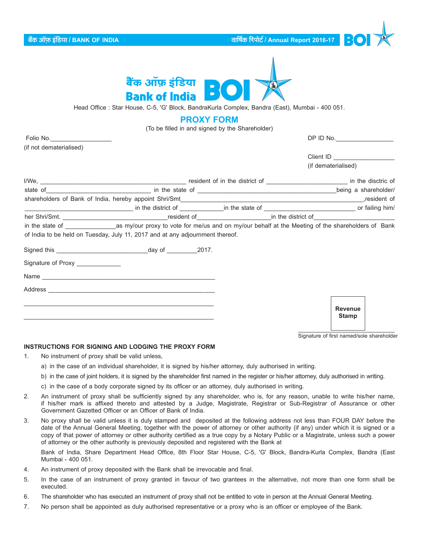**ºãö‡ãŠ 'ããùû¹ãŠ ƒâã䡾ãã / BANK OF INDIA ÌãããäÓãÇ㊠ãäÀ¹ããñ›Ã / Annual Report 2016-17**



Head Office : Star House, C-5, 'G' Block, BandraKurla Complex, Bandra (East), Mumbai - 400 051.

# **PROXY FORM**

(To be filled in and signed by the Shareholder)

| Folio No.                        |                                                                               |  | DP ID No.                      |
|----------------------------------|-------------------------------------------------------------------------------|--|--------------------------------|
| (if not dematerialised)          |                                                                               |  |                                |
|                                  |                                                                               |  |                                |
|                                  |                                                                               |  | (if dematerialised)            |
|                                  |                                                                               |  |                                |
|                                  | state of <u>example a shareholder</u> /                                       |  |                                |
|                                  |                                                                               |  |                                |
|                                  |                                                                               |  |                                |
|                                  |                                                                               |  |                                |
|                                  |                                                                               |  |                                |
|                                  | of India to be held on Tuesday, July 11, 2017 and at any adjournment thereof. |  |                                |
|                                  |                                                                               |  |                                |
| Signature of Proxy _____________ |                                                                               |  |                                |
|                                  |                                                                               |  |                                |
|                                  |                                                                               |  |                                |
|                                  |                                                                               |  | <b>Revenue</b><br><b>Stamp</b> |

Signature of first named/sole shareholder

### **INSTRUCTIONS FOR SIGNING AND LODGING THE PROXY FORM**

- 1. No instrument of proxy shall be valid unless,
	- a) in the case of an individual shareholder, it is signed by his/her attorney, duly authorised in writing.
	- b) in the case of joint holders, it is signed by the shareholder first named in the register or his/her attorney, duly authorised in writing.
	- c) in the case of a body corporate signed by its officer or an attorney, duly authorised in writing.
- 2. An instrument of proxy shall be sufficiently signed by any shareholder, who is, for any reason, unable to write his/her name, if his/her mark is affixed thereto and attested by a Judge, Magistrate, Registrar or Sub-Registrar of Assurance or other Government Gazetted Officer or an Officer of Bank of India.
- 3. No proxy shall be valid unless it is duly stamped and deposited at the following address not less than FOUR DAY before the date of the Annual General Meeting, together with the power of attorney or other authority (if any) under which it is signed or a copy of that power of attorney or other authority certified as a true copy by a Notary Public or a Magistrate, unless such a power of attorney or the other authority is previously deposited and registered with the Bank at

Bank of India, Share Department Head Office, 8th Floor Star House, C-5, 'G' Block, Bandra-Kurla Complex, Bandra (East Mumbai - 400 051.

- 4. An instrument of proxy deposited with the Bank shall be irrevocable and final.
- 5. In the case of an instrument of proxy granted in favour of two grantees in the alternative, not more than one form shall be executed.
- 6. The shareholder who has executed an instrument of proxy shall not be entitled to vote in person at the Annual General Meeting.
- 7. No person shall be appointed as duly authorised representative or a proxy who is an officer or employee of the Bank.